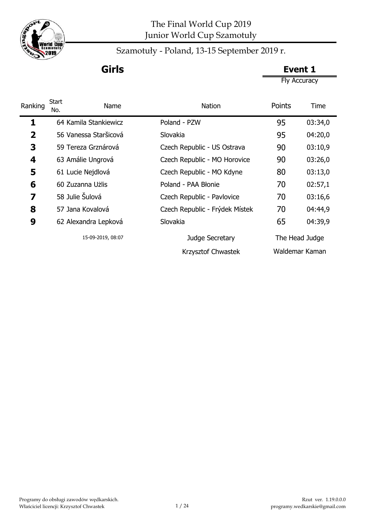

Szamotuły - Poland, 13-15 September 2019 r.

**Girls Event 1**

Fly Accuracy

| Ranking                 | <b>Start</b><br>Name<br>No. | <b>Nation</b>                  | Points | Time           |
|-------------------------|-----------------------------|--------------------------------|--------|----------------|
| 1                       | 64 Kamila Stankiewicz       | Poland - PZW                   | 95     | 03:34,0        |
| $\overline{\mathbf{2}}$ | 56 Vanessa Staršicová       | Slovakia                       | 95     | 04:20,0        |
| 3                       | 59 Tereza Grznárová         | Czech Republic - US Ostrava    | 90     | 03:10,9        |
| 4                       | 63 Amálie Ungrová           | Czech Republic - MO Horovice   | 90     | 03:26,0        |
| 5                       | 61 Lucie Nejdlová           | Czech Republic - MO Kdyne      | 80     | 03:13,0        |
| 6                       | 60 Zuzanna Użlis            | Poland - PAA Błonie            | 70     | 02:57,1        |
| 7                       | 58 Julie Šulová             | Czech Republic - Pavlovice     | 70     | 03:16,6        |
| 8                       | 57 Jana Kovalová            | Czech Republic - Frýdek Místek | 70     | 04:44,9        |
| 9                       | 62 Alexandra Lepková        | Slovakia                       | 65     | 04:39,9        |
|                         | 15-09-2019, 08:07           | Judge Secretary                |        | The Head Judge |
|                         |                             | Krzysztof Chwastek             |        | Waldemar Kaman |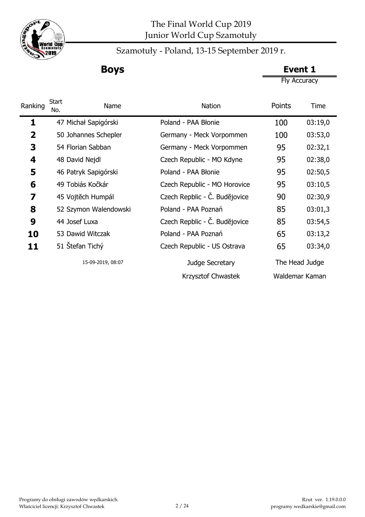

Szamotuły - Poland, 13-15 September 2019 r.

**Boys Event 1**

Fly Accuracy

| Ranking                 | <b>Start</b><br>Name<br>No. | <b>Nation</b>                 | Points | Time           |
|-------------------------|-----------------------------|-------------------------------|--------|----------------|
| 1                       | 47 Michał Sapigórski        | Poland - PAA Błonie           | 100    | 03:19,0        |
| $\overline{\mathbf{2}}$ | 50 Johannes Schepler        | Germany - Meck Vorpommen      | 100    | 03:53,0        |
| 3                       | 54 Florian Sabban           | Germany - Meck Vorpommen      | 95     | 02:32,1        |
| 4                       | 48 David Nejdl              | Czech Republic - MO Kdyne     | 95     | 02:38,0        |
| 5                       | 46 Patryk Sapigórski        | Poland - PAA Błonie           | 95     | 02:50,5        |
| 6                       | 49 Tobiás Kočkár            | Czech Republic - MO Horovice  | 95     | 03:10,5        |
| 7                       | 45 Vojtěch Humpál           | Czech Repblic - Č. Budějovice | 90     | 02:30,9        |
| 8                       | 52 Szymon Walendowski       | Poland - PAA Poznań           | 85     | 03:01,3        |
| 9                       | 44 Josef Luxa               | Czech Repblic - Č. Budějovice | 85     | 03:54,5        |
| 10                      | 53 Dawid Witczak            | Poland - PAA Poznań           | 65     | 03:13,2        |
| 11                      | 51 Stefan Tichý             | Czech Republic - US Ostrava   | 65     | 03:34,0        |
|                         | 15-09-2019, 08:07           | Judge Secretary               |        | The Head Judge |
|                         |                             | Krzysztof Chwastek            |        | Waldemar Kaman |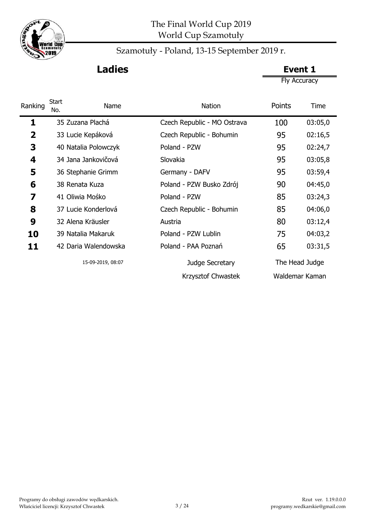

# **Ladies Event 1**

Fly Accuracy

| Ranking                 | <b>Start</b><br>Name<br>No. | <b>Nation</b>               | Points | Time           |
|-------------------------|-----------------------------|-----------------------------|--------|----------------|
| 1                       | 35 Zuzana Plachá            | Czech Republic - MO Ostrava | 100    | 03:05,0        |
| $\overline{\mathbf{2}}$ | 33 Lucie Kepáková           | Czech Republic - Bohumin    | 95     | 02:16,5        |
| 3                       | 40 Natalia Polowczyk        | Poland - PZW                | 95     | 02:24,7        |
| 4                       | 34 Jana Jankovičová         | Slovakia                    | 95     | 03:05,8        |
| 5                       | 36 Stephanie Grimm          | Germany - DAFV              | 95     | 03:59,4        |
| 6                       | 38 Renata Kuza              | Poland - PZW Busko Zdrój    | 90     | 04:45,0        |
| 7                       | 41 Oliwia Mośko             | Poland - PZW                | 85     | 03:24,3        |
| 8                       | 37 Lucie Konderlová         | Czech Republic - Bohumin    | 85     | 04:06,0        |
| 9                       | 32 Alena Kräusler           | Austria                     | 80     | 03:12,4        |
| 10                      | 39 Natalia Makaruk          | Poland - PZW Lublin         | 75     | 04:03,2        |
| 11                      | 42 Daria Walendowska        | Poland - PAA Poznań         | 65     | 03:31,5        |
|                         | 15-09-2019, 08:07           | Judge Secretary             |        | The Head Judge |
|                         |                             | Krzysztof Chwastek          |        | Waldemar Kaman |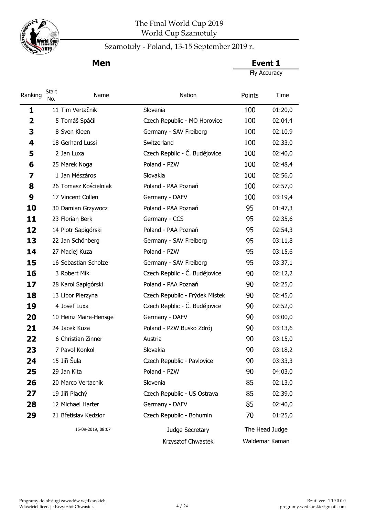

j.

## The Final World Cup 2019 World Cup Szamotuły

# Szamotuły - Poland, 13-15 September 2019 r.

Fly Accuracy **Men Event 1** 

| Ranking | Start<br>No. | Name                  | Nation                         | Points         | Time    |
|---------|--------------|-----------------------|--------------------------------|----------------|---------|
| 1       |              | 11 Tim Vertačnik      | Slovenia                       | 100            | 01:20,0 |
| 2       |              | 5 Tomáš Spáčil        | Czech Republic - MO Horovice   | 100            | 02:04,4 |
| 3       |              | 8 Sven Kleen          | Germany - SAV Freiberg         | 100            | 02:10,9 |
| 4       |              | 18 Gerhard Lussi      | Switzerland                    | 100            | 02:33,0 |
| 5       |              | 2 Jan Luxa            | Czech Repblic - Č. Budějovice  | 100            | 02:40,0 |
| 6       |              | 25 Marek Noga         | Poland - PZW                   | 100            | 02:48,4 |
| 7       |              | 1 Jan Mészáros        | Slovakia                       | 100            | 02:56,0 |
| 8       |              | 26 Tomasz Kościelniak | Poland - PAA Poznań            | 100            | 02:57,0 |
| 9       |              | 17 Vincent Cöllen     | Germany - DAFV                 | 100            | 03:19,4 |
| 10      |              | 30 Damian Grzywocz    | Poland - PAA Poznań            | 95             | 01:47,3 |
| 11      |              | 23 Florian Berk       | Germany - CCS                  | 95             | 02:35,6 |
| 12      |              | 14 Piotr Sapigórski   | Poland - PAA Poznań            | 95             | 02:54,3 |
| 13      |              | 22 Jan Schönberg      | Germany - SAV Freiberg         | 95             | 03:11,8 |
| 14      |              | 27 Maciej Kuza        | Poland - PZW                   | 95             | 03:15,6 |
| 15      |              | 16 Sebastian Scholze  | Germany - SAV Freiberg         | 95             | 03:37,1 |
| 16      |              | 3 Robert Mík          | Czech Repblic - Č. Budějovice  | 90             | 02:12,2 |
| 17      |              | 28 Karol Sapigórski   | Poland - PAA Poznań            | 90             | 02:25,0 |
| 18      |              | 13 Libor Pierzyna     | Czech Republic - Frýdek Místek | 90             | 02:45,0 |
| 19      |              | 4 Josef Luxa          | Czech Repblic - Č. Budějovice  | 90             | 02:52,0 |
| 20      |              | 10 Heinz Maire-Hensge | Germany - DAFV                 | 90             | 03:00,0 |
| 21      |              | 24 Jacek Kuza         | Poland - PZW Busko Zdrój       | 90             | 03:13,6 |
| 22      |              | 6 Christian Zinner    | Austria                        | 90             | 03:15,0 |
| 23      |              | 7 Pavol Konkol        | Slovakia                       | 90             | 03:18,2 |
| 24      | 15 Jiři Šula |                       | Czech Republic - Pavlovice     | 90             | 03:33,3 |
| 25      | 29 Jan Kita  |                       | Poland - PZW                   | 90             | 04:03,0 |
| 26      |              | 20 Marco Vertacnik    | Slovenia                       | 85             | 02:13,0 |
| 27      |              | 19 Jiři Plachý        | Czech Republic - US Ostrava    | 85             | 02:39,0 |
| 28      |              | 12 Michael Harter     | Germany - DAFV                 | 85             | 02:40,0 |
| 29      |              | 21 Břetislav Kedzior  | Czech Republic - Bohumin       | 70             | 01:25,0 |
|         |              | 15-09-2019, 08:07     | Judge Secretary                | The Head Judge |         |
|         |              |                       | Krzysztof Chwastek             | Waldemar Kaman |         |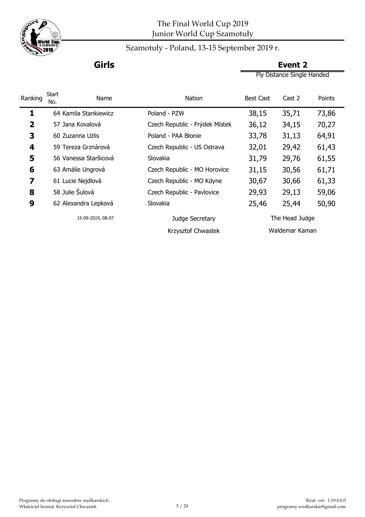

### Szamotuły - Poland, 13-15 September 2019 r.

Fly Distance Single Handed **Girls Event 2**

|                         | Start |                       |                                |                  |                |        |
|-------------------------|-------|-----------------------|--------------------------------|------------------|----------------|--------|
| Ranking                 | No.   | <b>Name</b>           | Nation                         | <b>Best Cast</b> | Cast 2         | Points |
| 1                       |       | 64 Kamila Stankiewicz | Poland - PZW                   | 38,15            | 35,71          | 73,86  |
| $\overline{\mathbf{2}}$ |       | 57 Jana Kovalová      | Czech Republic - Frýdek Místek | 36,12            | 34,15          | 70,27  |
| 3                       |       | 60 Zuzanna Użlis      | Poland - PAA Błonie            | 33,78            | 31,13          | 64,91  |
| 4                       |       | 59 Tereza Grznárová   | Czech Republic - US Ostrava    | 32,01            | 29,42          | 61,43  |
| 5                       |       | 56 Vanessa Staršicová | Slovakia                       | 31,79            | 29,76          | 61,55  |
| 6                       |       | 63 Amálie Ungrová     | Czech Republic - MO Horovice   | 31,15            | 30,56          | 61,71  |
| 7                       |       | 61 Lucie Nejdlová     | Czech Republic - MO Kdyne      | 30,67            | 30,66          | 61,33  |
| 8                       |       | 58 Julie Šulová       | Czech Republic - Pavlovice     | 29,93            | 29,13          | 59,06  |
| 9                       |       | 62 Alexandra Lepková  | Slovakia                       | 25,46            | 25,44          | 50,90  |
|                         |       | 15-09-2019, 08:07     | Judge Secretary                |                  | The Head Judge |        |
|                         |       |                       | Krzysztof Chwastek             |                  | Waldemar Kaman |        |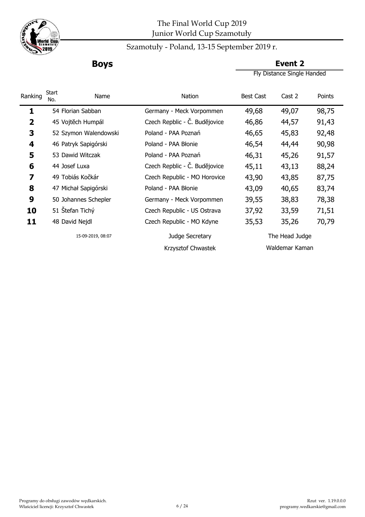

## Szamotuły - Poland, 13-15 September 2019 r.

**Boys Event 2**

Fly Distance Single Handed

| Ranking | Start<br>No. | Name                  | Nation                        | <b>Best Cast</b> | Cast 2         | Points |
|---------|--------------|-----------------------|-------------------------------|------------------|----------------|--------|
| 1       |              | 54 Florian Sabban     | Germany - Meck Vorpommen      | 49,68            | 49,07          | 98,75  |
| 2       |              | 45 Vojtěch Humpál     | Czech Repblic - Č. Budějovice | 46,86            | 44,57          | 91,43  |
| 3       |              | 52 Szymon Walendowski | Poland - PAA Poznań           | 46,65            | 45,83          | 92,48  |
| 4       |              | 46 Patryk Sapigórski  | Poland - PAA Błonie           | 46,54            | 44,44          | 90,98  |
| 5       |              | 53 Dawid Witczak      | Poland - PAA Poznań           | 46,31            | 45,26          | 91,57  |
| 6       |              | 44 Josef Luxa         | Czech Repblic - Č. Budějovice | 45,11            | 43,13          | 88,24  |
| 7       |              | 49 Tobiás Kočkár      | Czech Republic - MO Horovice  | 43,90            | 43,85          | 87,75  |
| 8       |              | 47 Michał Sapigórski  | Poland - PAA Błonie           | 43,09            | 40,65          | 83,74  |
| 9       |              | 50 Johannes Schepler  | Germany - Meck Vorpommen      | 39,55            | 38,83          | 78,38  |
| 10      |              | 51 Štefan Tichý       | Czech Republic - US Ostrava   | 37,92            | 33,59          | 71,51  |
| 11      |              | 48 David Nejdl        | Czech Republic - MO Kdyne     | 35,53            | 35,26          | 70,79  |
|         |              | 15-09-2019, 08:07     | Judge Secretary               |                  | The Head Judge |        |
|         |              |                       | Krzysztof Chwastek            |                  | Waldemar Kaman |        |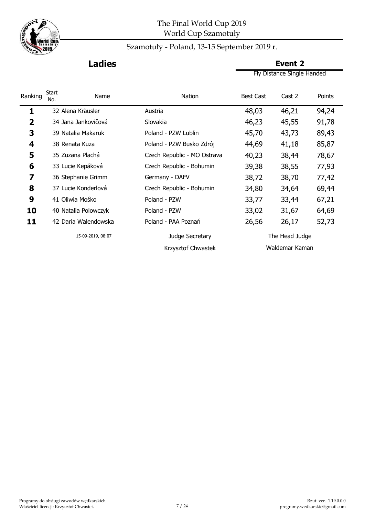

## Szamotuły - Poland, 13-15 September 2019 r.

Fly Distance Single Handed **Ladies Event 2** 

| Ranking | Start<br>No. | Name                 | Nation                      | <b>Best Cast</b> | Cast 2         | Points |
|---------|--------------|----------------------|-----------------------------|------------------|----------------|--------|
| 1       |              | 32 Alena Kräusler    | Austria                     | 48,03            | 46,21          | 94,24  |
| 2       |              | 34 Jana Jankovičová  | Slovakia                    | 46,23            | 45,55          | 91,78  |
| 3       |              | 39 Natalia Makaruk   | Poland - PZW Lublin         | 45,70            | 43,73          | 89,43  |
| 4       |              | 38 Renata Kuza       | Poland - PZW Busko Zdrój    | 44,69            | 41,18          | 85,87  |
| 5       |              | 35 Zuzana Plachá     | Czech Republic - MO Ostrava | 40,23            | 38,44          | 78,67  |
| 6       |              | 33 Lucie Kepáková    | Czech Republic - Bohumin    | 39,38            | 38,55          | 77,93  |
| 7       |              | 36 Stephanie Grimm   | Germany - DAFV              | 38,72            | 38,70          | 77,42  |
| 8       |              | 37 Lucie Konderlová  | Czech Republic - Bohumin    | 34,80            | 34,64          | 69,44  |
| 9       |              | 41 Oliwia Mośko      | Poland - PZW                | 33,77            | 33,44          | 67,21  |
| 10      |              | 40 Natalia Polowczyk | Poland - PZW                | 33,02            | 31,67          | 64,69  |
| 11      |              | 42 Daria Walendowska | Poland - PAA Poznań         | 26,56            | 26,17          | 52,73  |
|         |              | 15-09-2019, 08:07    | Judge Secretary             |                  | The Head Judge |        |
|         |              |                      | Krzysztof Chwastek          |                  | Waldemar Kaman |        |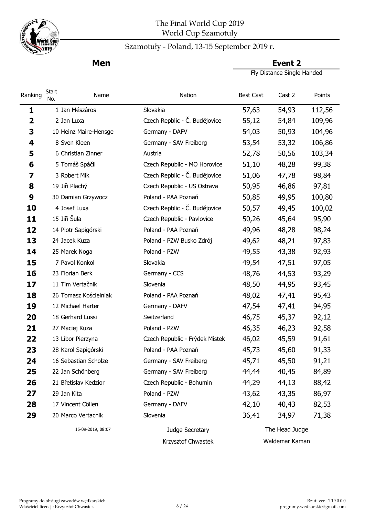

### Szamotuły - Poland, 13-15 September 2019 r.

**Men Event 2** Fly Distance Single Handed

| Ranking                 | <b>Start</b><br>No.   | Name | Nation                         | <b>Best Cast</b> | Cast 2         | Points |
|-------------------------|-----------------------|------|--------------------------------|------------------|----------------|--------|
| 1                       | 1 Jan Mészáros        |      | Slovakia                       | 57,63            | 54,93          | 112,56 |
| $\overline{\mathbf{2}}$ | 2 Jan Luxa            |      | Czech Repblic - Č. Budějovice  | 55,12            | 54,84          | 109,96 |
| 3                       | 10 Heinz Maire-Hensge |      | Germany - DAFV                 | 54,03            | 50,93          | 104,96 |
| 4                       | 8 Sven Kleen          |      | Germany - SAV Freiberg         | 53,54            | 53,32          | 106,86 |
| 5                       | 6 Christian Zinner    |      | Austria                        | 52,78            | 50,56          | 103,34 |
| 6                       | 5 Tomáš Spáčil        |      | Czech Republic - MO Horovice   | 51,10            | 48,28          | 99,38  |
| 7                       | 3 Robert Mík          |      | Czech Repblic - Č. Budějovice  | 51,06            | 47,78          | 98,84  |
| 8                       | 19 Jiři Plachý        |      | Czech Republic - US Ostrava    | 50,95            | 46,86          | 97,81  |
| 9                       | 30 Damian Grzywocz    |      | Poland - PAA Poznań            | 50,85            | 49,95          | 100,80 |
| 10                      | 4 Josef Luxa          |      | Czech Repblic - Č. Budějovice  | 50,57            | 49,45          | 100,02 |
| 11                      | 15 Jiři Šula          |      | Czech Republic - Pavlovice     | 50,26            | 45,64          | 95,90  |
| 12                      | 14 Piotr Sapigórski   |      | Poland - PAA Poznań            | 49,96            | 48,28          | 98,24  |
| 13                      | 24 Jacek Kuza         |      | Poland - PZW Busko Zdrój       | 49,62            | 48,21          | 97,83  |
| 14                      | 25 Marek Noga         |      | Poland - PZW                   | 49,55            | 43,38          | 92,93  |
| 15                      | 7 Pavol Konkol        |      | Slovakia                       | 49,54            | 47,51          | 97,05  |
| 16                      | 23 Florian Berk       |      | Germany - CCS                  | 48,76            | 44,53          | 93,29  |
| 17                      | 11 Tim Vertačnik      |      | Slovenia                       | 48,50            | 44,95          | 93,45  |
| 18                      | 26 Tomasz Kościelniak |      | Poland - PAA Poznań            | 48,02            | 47,41          | 95,43  |
| 19                      | 12 Michael Harter     |      | Germany - DAFV                 | 47,54            | 47,41          | 94,95  |
| 20                      | 18 Gerhard Lussi      |      | Switzerland                    | 46,75            | 45,37          | 92,12  |
| 21                      | 27 Maciej Kuza        |      | Poland - PZW                   | 46,35            | 46,23          | 92,58  |
| 22                      | 13 Libor Pierzyna     |      | Czech Republic - Frýdek Místek | 46,02            | 45,59          | 91,61  |
| 23                      | 28 Karol Sapigórski   |      | Poland - PAA Poznań            | 45,73            | 45,60          | 91,33  |
| 24                      | 16 Sebastian Scholze  |      | Germany - SAV Freiberg         | 45,71            | 45,50          | 91,21  |
| 25                      | 22 Jan Schönberg      |      | Germany - SAV Freiberg         | 44,44            | 40,45          | 84,89  |
| 26                      | 21 Břetislav Kedzior  |      | Czech Republic - Bohumin       | 44,29            | 44,13          | 88,42  |
| 27                      | 29 Jan Kita           |      | Poland - PZW                   | 43,62            | 43,35          | 86,97  |
| 28                      | 17 Vincent Cöllen     |      | Germany - DAFV                 | 42,10            | 40,43          | 82,53  |
| 29                      | 20 Marco Vertacnik    |      | Slovenia                       | 36,41            | 34,97          | 71,38  |
|                         | 15-09-2019, 08:07     |      | Judge Secretary                |                  | The Head Judge |        |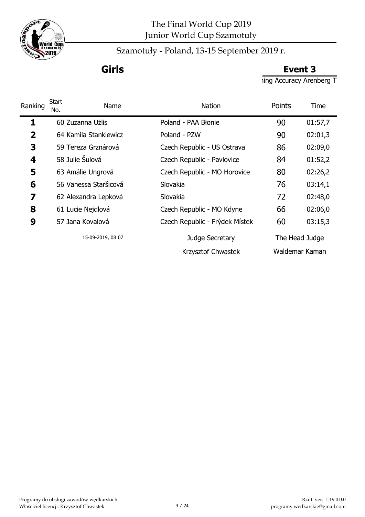

**Girls Event 3**

ing Accuracy Arenberg T

| Ranking                 | <b>Start</b><br>Name<br>No. | <b>Nation</b>                  | Points | Time           |
|-------------------------|-----------------------------|--------------------------------|--------|----------------|
| 1                       | 60 Zuzanna Użlis            | Poland - PAA Błonie            | 90     | 01:57,7        |
| $\overline{\mathbf{2}}$ | 64 Kamila Stankiewicz       | Poland - PZW                   | 90     | 02:01,3        |
| 3                       | 59 Tereza Grznárová         | Czech Republic - US Ostrava    | 86     | 02:09,0        |
| 4                       | 58 Julie Šulová             | Czech Republic - Pavlovice     | 84     | 01:52,2        |
| 5                       | 63 Amálie Ungrová           | Czech Republic - MO Horovice   | 80     | 02:26,2        |
| 6                       | 56 Vanessa Staršicová       | Slovakia                       | 76     | 03:14,1        |
| 7                       | 62 Alexandra Lepková        | Slovakia                       | 72     | 02:48,0        |
| 8                       | 61 Lucie Nejdlová           | Czech Republic - MO Kdyne      | 66     | 02:06,0        |
| 9                       | 57 Jana Kovalová            | Czech Republic - Frýdek Místek | 60     | 03:15,3        |
|                         | 15-09-2019, 08:07           | Judge Secretary                |        | The Head Judge |
|                         |                             | Krzysztof Chwastek             |        | Waldemar Kaman |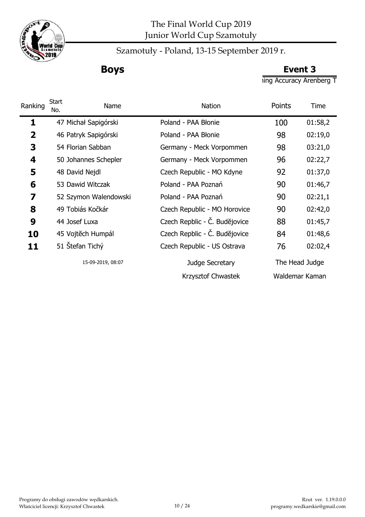

Szamotuły - Poland, 13-15 September 2019 r.

**Boys Event 3**

ing Accuracy Arenberg T

| Ranking                 | <b>Start</b><br>Name<br>No. | <b>Nation</b>                 | Points | Time           |
|-------------------------|-----------------------------|-------------------------------|--------|----------------|
| 1                       | 47 Michał Sapigórski        | Poland - PAA Błonie           | 100    | 01:58,2        |
| $\overline{\mathbf{2}}$ | 46 Patryk Sapigórski        | Poland - PAA Błonie           | 98     | 02:19,0        |
| 3                       | 54 Florian Sabban           | Germany - Meck Vorpommen      | 98     | 03:21,0        |
| 4                       | 50 Johannes Schepler        | Germany - Meck Vorpommen      | 96     | 02:22,7        |
| 5                       | 48 David Nejdl              | Czech Republic - MO Kdyne     | 92     | 01:37,0        |
| 6                       | 53 Dawid Witczak            | Poland - PAA Poznań           | 90     | 01:46,7        |
| 7                       | 52 Szymon Walendowski       | Poland - PAA Poznań           | 90     | 02:21,1        |
| 8                       | 49 Tobiás Kočkár            | Czech Republic - MO Horovice  | 90     | 02:42,0        |
| 9                       | 44 Josef Luxa               | Czech Repblic - Č. Budějovice | 88     | 01:45,7        |
| 10                      | 45 Vojtěch Humpál           | Czech Repblic - Č. Budějovice | 84     | 01:48,6        |
| 11                      | 51 Stefan Tichý             | Czech Republic - US Ostrava   | 76     | 02:02,4        |
|                         | 15-09-2019, 08:07           | Judge Secretary               |        | The Head Judge |
|                         |                             | Krzysztof Chwastek            |        | Waldemar Kaman |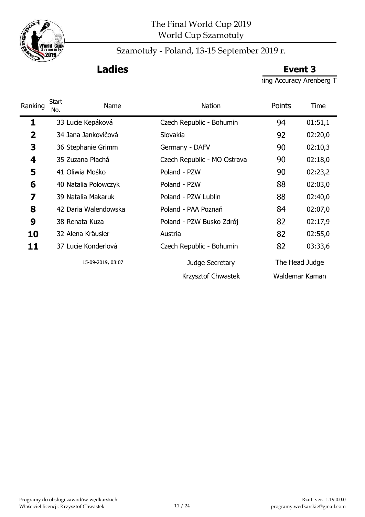

# **Ladies Event 3**

ing Accuracy Arenberg T

| Ranking | <b>Start</b><br>Name<br>No. | <b>Nation</b>               | Points | Time           |
|---------|-----------------------------|-----------------------------|--------|----------------|
| 1       | 33 Lucie Kepáková           | Czech Republic - Bohumin    | 94     | 01:51,1        |
| 2       | 34 Jana Jankovičová         | Slovakia                    | 92     | 02:20,0        |
| 3       | 36 Stephanie Grimm          | Germany - DAFV              | 90     | 02:10,3        |
| 4       | 35 Zuzana Plachá            | Czech Republic - MO Ostrava | 90     | 02:18,0        |
| 5       | 41 Oliwia Mośko             | Poland - PZW                | 90     | 02:23,2        |
| 6       | 40 Natalia Polowczyk        | Poland - PZW                | 88     | 02:03,0        |
| 7       | 39 Natalia Makaruk          | Poland - PZW Lublin         | 88     | 02:40,0        |
| 8       | 42 Daria Walendowska        | Poland - PAA Poznań         | 84     | 02:07,0        |
| 9       | 38 Renata Kuza              | Poland - PZW Busko Zdrój    | 82     | 02:17,9        |
| 10      | 32 Alena Kräusler           | Austria                     | 82     | 02:55,0        |
| 11      | 37 Lucie Konderlová         | Czech Republic - Bohumin    | 82     | 03:33,6        |
|         | 15-09-2019, 08:07           | Judge Secretary             |        | The Head Judge |
|         |                             | Krzysztof Chwastek          |        | Waldemar Kaman |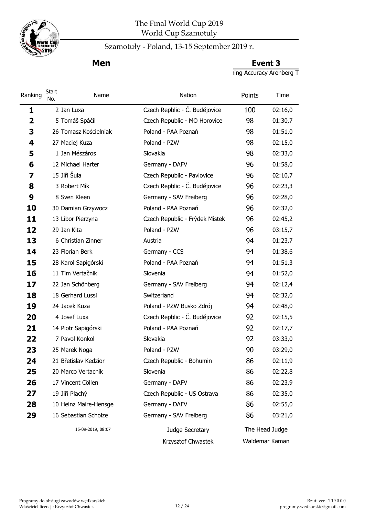

## Szamotuły - Poland, 13-15 September 2019 r.

**Men Event 3** 

 $\frac{1}{\pi}$  Accuracy Arenberg T

| Ranking                 | Start<br>No.          | Name | <b>Nation</b>                  | Points         | Time    |
|-------------------------|-----------------------|------|--------------------------------|----------------|---------|
| 1                       | 2 Jan Luxa            |      | Czech Repblic - Č. Budějovice  | 100            | 02:16,0 |
| $\overline{\mathbf{2}}$ | 5 Tomáš Spáčil        |      | Czech Republic - MO Horovice   | 98             | 01:30,7 |
| 3                       | 26 Tomasz Kościelniak |      | Poland - PAA Poznań            | 98             | 01:51,0 |
| 4                       | 27 Maciej Kuza        |      | Poland - PZW                   | 98             | 02:15,0 |
| 5                       | 1 Jan Mészáros        |      | Slovakia                       | 98             | 02:33,0 |
| 6                       | 12 Michael Harter     |      | Germany - DAFV                 | 96             | 01:58,0 |
| 7                       | 15 Jiři Šula          |      | Czech Republic - Pavlovice     | 96             | 02:10,7 |
| 8                       | 3 Robert Mík          |      | Czech Repblic - Č. Budějovice  | 96             | 02:23,3 |
| 9                       | 8 Sven Kleen          |      | Germany - SAV Freiberg         | 96             | 02:28,0 |
| 10                      | 30 Damian Grzywocz    |      | Poland - PAA Poznań            | 96             | 02:32,0 |
| 11                      | 13 Libor Pierzyna     |      | Czech Republic - Frýdek Místek | 96             | 02:45,2 |
| 12                      | 29 Jan Kita           |      | Poland - PZW                   | 96             | 03:15,7 |
| 13                      | 6 Christian Zinner    |      | Austria                        | 94             | 01:23,7 |
| 14                      | 23 Florian Berk       |      | Germany - CCS                  | 94             | 01:38,6 |
| 15                      | 28 Karol Sapigórski   |      | Poland - PAA Poznań            | 94             | 01:51,3 |
| 16                      | 11 Tim Vertačnik      |      | Slovenia                       | 94             | 01:52,0 |
| 17                      | 22 Jan Schönberg      |      | Germany - SAV Freiberg         | 94             | 02:12,4 |
| 18                      | 18 Gerhard Lussi      |      | Switzerland                    | 94             | 02:32,0 |
| 19                      | 24 Jacek Kuza         |      | Poland - PZW Busko Zdrój       | 94             | 02:48,0 |
| 20                      | 4 Josef Luxa          |      | Czech Repblic - Č. Budějovice  | 92             | 02:15,5 |
| 21                      | 14 Piotr Sapigórski   |      | Poland - PAA Poznań            | 92             | 02:17,7 |
| 22                      | 7 Pavol Konkol        |      | Slovakia                       | 92             | 03:33,0 |
| 23                      | 25 Marek Noga         |      | Poland - PZW                   | 90             | 03:29,0 |
| 24                      | 21 Břetislav Kedzior  |      | Czech Republic - Bohumin       | 86             | 02:11,9 |
| 25                      | 20 Marco Vertacnik    |      | Slovenia                       | 86             | 02:22,8 |
| 26                      | 17 Vincent Cöllen     |      | Germany - DAFV                 | 86             | 02:23,9 |
| 27                      | 19 Jiři Plachý        |      | Czech Republic - US Ostrava    | 86             | 02:35,0 |
| 28                      | 10 Heinz Maire-Hensge |      | Germany - DAFV                 | 86             | 02:55,0 |
| 29                      | 16 Sebastian Scholze  |      | Germany - SAV Freiberg         | 86             | 03:21,0 |
|                         | 15-09-2019, 08:07     |      | Judge Secretary                | The Head Judge |         |
|                         |                       |      | Krzysztof Chwastek             | Waldemar Kaman |         |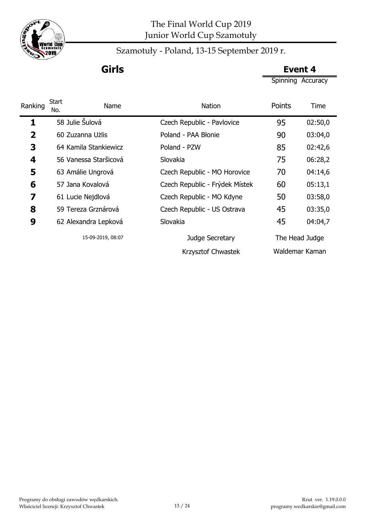

Szamotuły - Poland, 13-15 September 2019 r.

**Girls Event 4**

Spinning Accuracy

| Ranking                 | Start<br>Name<br>No.  | <b>Nation</b>                  | Points | Time           |
|-------------------------|-----------------------|--------------------------------|--------|----------------|
| 1                       | 58 Julie Šulová       | Czech Republic - Pavlovice     | 95     | 02:50,0        |
| $\overline{\mathbf{2}}$ | 60 Zuzanna Użlis      | Poland - PAA Błonie            | 90     | 03:04,0        |
| 3                       | 64 Kamila Stankiewicz | Poland - PZW                   | 85     | 02:42,6        |
| 4                       | 56 Vanessa Staršicová | Slovakia                       | 75     | 06:28,2        |
| 5                       | 63 Amálie Ungrová     | Czech Republic - MO Horovice   | 70     | 04:14,6        |
| 6                       | 57 Jana Kovalová      | Czech Republic - Frýdek Místek | 60     | 05:13,1        |
| 7                       | 61 Lucie Nejdlová     | Czech Republic - MO Kdyne      | 50     | 03:58,0        |
| 8                       | 59 Tereza Grznárová   | Czech Republic - US Ostrava    | 45     | 03:35,0        |
| 9                       | 62 Alexandra Lepková  | Slovakia                       | 45     | 04:04,7        |
|                         | 15-09-2019, 08:07     | Judge Secretary                |        | The Head Judge |
|                         |                       | Krzysztof Chwastek             |        | Waldemar Kaman |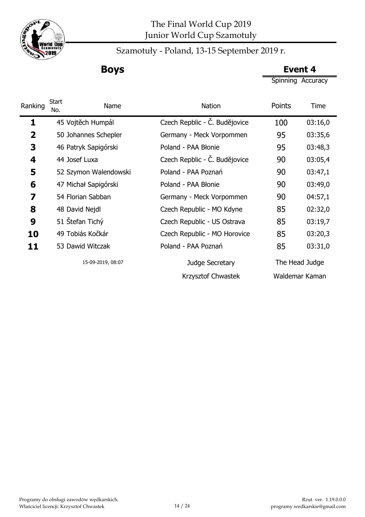

Szamotuły - Poland, 13-15 September 2019 r.

**Boys Event 4**

Spinning Accuracy

| Ranking      | Start<br>Name<br>No.  | <b>Nation</b>                 | Points | Time           |
|--------------|-----------------------|-------------------------------|--------|----------------|
| 1            | 45 Vojtěch Humpál     | Czech Repblic - C. Budějovice | 100    | 03:16,0        |
| $\mathbf{2}$ | 50 Johannes Schepler  | Germany - Meck Vorpommen      | 95     | 03:35,6        |
| 3            | 46 Patryk Sapigórski  | Poland - PAA Błonie           | 95     | 03:48,3        |
| 4            | 44 Josef Luxa         | Czech Repblic - Č. Budějovice | 90     | 03:05,4        |
| 5            | 52 Szymon Walendowski | Poland - PAA Poznań           | 90     | 03:47,1        |
| 6            | 47 Michał Sapigórski  | Poland - PAA Błonie           | 90     | 03:49,0        |
| 7            | 54 Florian Sabban     | Germany - Meck Vorpommen      | 90     | 04:57,1        |
| 8            | 48 David Nejdl        | Czech Republic - MO Kdyne     | 85     | 02:32,0        |
| 9            | 51 Stefan Tichý       | Czech Republic - US Ostrava   | 85     | 03:19,7        |
| 10           | 49 Tobiás Kočkár      | Czech Republic - MO Horovice  | 85     | 03:20,3        |
| 11           | 53 Dawid Witczak      | Poland - PAA Poznań           | 85     | 03:31,0        |
|              | 15-09-2019, 08:07     | Judge Secretary               |        | The Head Judge |
|              |                       | Krzysztof Chwastek            |        | Waldemar Kaman |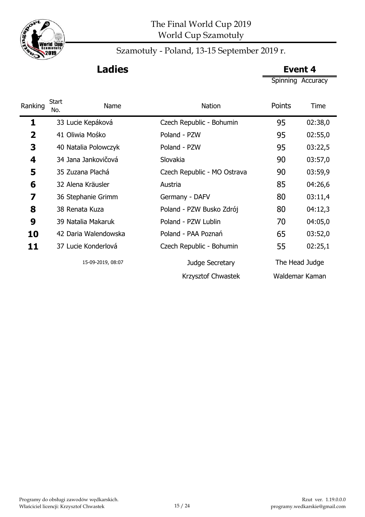

# **Ladies Event 4**

Spinning Accuracy

| Ranking     | <b>Start</b><br>No. | Name                 | <b>Nation</b>       |                             | Points         | Time    |
|-------------|---------------------|----------------------|---------------------|-----------------------------|----------------|---------|
| 1           |                     | 33 Lucie Kepáková    |                     | Czech Republic - Bohumin    | 95             | 02:38,0 |
| $\mathbf 2$ |                     | 41 Oliwia Mośko      | Poland - PZW        |                             | 95             | 02:55,0 |
| 3           |                     | 40 Natalia Polowczyk | Poland - PZW        |                             | 95             | 03:22,5 |
| 4           |                     | 34 Jana Jankovičová  | Slovakia            |                             | 90             | 03:57,0 |
| 5           |                     | 35 Zuzana Plachá     |                     | Czech Republic - MO Ostrava | 90             | 03:59,9 |
| 6           |                     | 32 Alena Kräusler    | Austria             |                             | 85             | 04:26,6 |
| 7           |                     | 36 Stephanie Grimm   | Germany - DAFV      |                             | 80             | 03:11,4 |
| 8           |                     | 38 Renata Kuza       |                     | Poland - PZW Busko Zdrój    | 80             | 04:12,3 |
| 9           |                     | 39 Natalia Makaruk   | Poland - PZW Lublin |                             | 70             | 04:05,0 |
| 10          |                     | 42 Daria Walendowska | Poland - PAA Poznań |                             | 65             | 03:52,0 |
| 11          |                     | 37 Lucie Konderlová  |                     | Czech Republic - Bohumin    | 55             | 02:25,1 |
|             |                     | 15-09-2019, 08:07    |                     | Judge Secretary             | The Head Judge |         |
|             |                     |                      |                     | Krzysztof Chwastek          | Waldemar Kaman |         |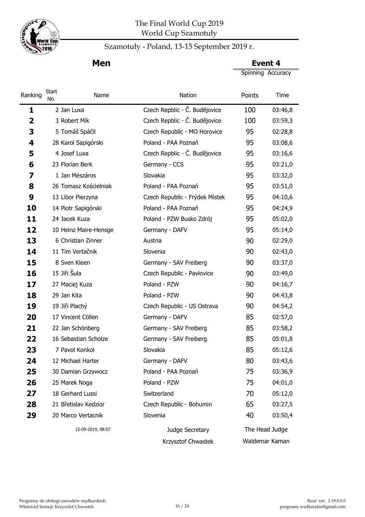

### Szamotuły - Poland, 13-15 September 2019 r.

Spinning Accuracy **Men Event 4** 

 2 Jan Luxa Czech Repblic - Č. Budĕjovice 100 03:46,8 3 Robert Mík Czech Repblic - Č. Budĕjovice 100 03:59,3 5 Tomáš Spáčil Czech Republic - MO Horovice 95 02:28,8 28 Karol Sapigórski Poland - PAA Poznań 95 03:08,6 4 Josef Luxa Czech Repblic - Č. Budĕjovice 95 03:16,6 23 Florian Berk Germany - CCS 95 03:21,0 1 Jan Mészáros Slovakia 1995 03:32,0 26 Tomasz Kościelniak Poland - PAA Poznań 95 03:51,0 13 Libor Pierzyna Czech Republic - Frýdek Místek 95 04:10,6 14 Piotr Sapigórski Poland - PAA Poznań 95 04:24,9 24 Jacek Kuza Poland - PZW Busko Zdrój 95 05:02,0 10 Heinz Maire-Hensge Germany - DAFV 95 05:14,0 6 Christian Zinner **Austria Austria 13** 02:29,0 11 Tim Vertačnik Slovenia 18 90 02:43,0 8 Sven Kleen **Brand Germany - SAV Freiberg** 90 03:37,0 15 Jiři Šula **Czech Republic - Pavlovice** 90 03:49,0 27 Maciej Kuza **Poland - PZW** 90 04:16,7 29 Jan Kita **Poland - PZW** 90 04:43,8 19 Jiři Plachý Czech Republic - US Ostrava 90 04:54,2 17 Vincent Cöllen Germany - DAFV 85 02:57,0 22 Jan Schönberg Germany - SAV Freiberg 85 03:58.2 16 Sebastian Scholze Germany - SAV Freiberg 85 05:01,8 7 Pavol Konkol Slovakia 85 05:12,6 12 Michael Harter Germany - DAFV 80 03:43.6 30 Damian Grzywocz **Poland - PAA Poznań** 75 03:36,9 25 Marek Noga **Poland - PZW 75** 04:01,0 18 Gerhard Lussi Switzerland 70 05:12,0 28 21 Břetislav Kedzior Czech Republic - Bohumin 65 03:27,5 20 Marco Vertacnik Slovenia 5 Slovenia 40 03:50,4 Judge Secretary 15-09-2019, 08:07 The Head Judge Nation **Points** Time Ranking Start **Name** 

Krzysztof Chwastek Waldemar Kaman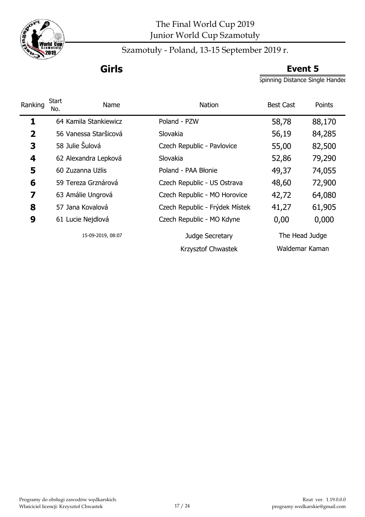

Szamotuły - Poland, 13-15 September 2019 r.

# **Girls Event 5**

Spinning Distance Single Handed

| Ranking        | Start<br>No. | Name                  | <b>Nation</b>                  | <b>Best Cast</b> | Points |
|----------------|--------------|-----------------------|--------------------------------|------------------|--------|
| 1              |              | 64 Kamila Stankiewicz | Poland - PZW                   | 58,78            | 88,170 |
| $\overline{2}$ |              | 56 Vanessa Staršicová | Slovakia                       | 56,19            | 84,285 |
| 3              |              | 58 Julie Šulová       | Czech Republic - Pavlovice     | 55,00            | 82,500 |
| 4              |              | 62 Alexandra Lepková  | Slovakia                       | 52,86            | 79,290 |
| 5              |              | 60 Zuzanna Użlis      | Poland - PAA Błonie            | 49,37            | 74,055 |
| 6              |              | 59 Tereza Grznárová   | Czech Republic - US Ostrava    | 48,60            | 72,900 |
| 7              |              | 63 Amálie Ungrová     | Czech Republic - MO Horovice   | 42,72            | 64,080 |
| 8              |              | 57 Jana Kovalová      | Czech Republic - Frýdek Místek | 41,27            | 61,905 |
| 9              |              | 61 Lucie Nejdlová     | Czech Republic - MO Kdyne      | 0,00             | 0,000  |
|                |              | 15-09-2019, 08:07     | Judge Secretary                | The Head Judge   |        |
|                |              |                       | Krzysztof Chwastek             | Waldemar Kaman   |        |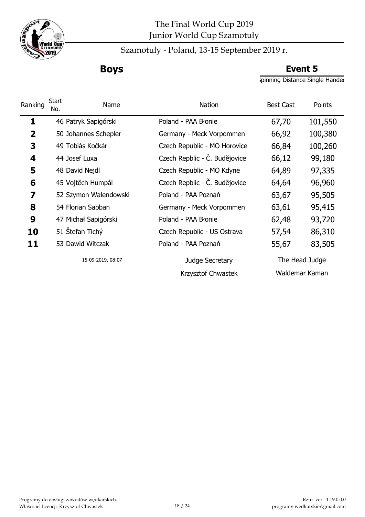

## Szamotuły - Poland, 13-15 September 2019 r.

# **Boys Event 5**

Spinning Distance Single Hander

| Ranking                 | <b>Start</b><br>Name<br>No. | <b>Nation</b>                 | <b>Best Cast</b> | Points  |
|-------------------------|-----------------------------|-------------------------------|------------------|---------|
| 1                       | 46 Patryk Sapigórski        | Poland - PAA Błonie           | 67,70            | 101,550 |
| $\overline{\mathbf{2}}$ | 50 Johannes Schepler        | Germany - Meck Vorpommen      | 66,92            | 100,380 |
| 3                       | 49 Tobiás Kočkár            | Czech Republic - MO Horovice  | 66,84            | 100,260 |
| 4                       | 44 Josef Luxa               | Czech Repblic - Č. Budějovice | 66,12            | 99,180  |
| 5                       | 48 David Nejdl              | Czech Republic - MO Kdyne     | 64,89            | 97,335  |
| 6                       | 45 Vojtěch Humpál           | Czech Repblic - Č. Budějovice | 64,64            | 96,960  |
| 7                       | 52 Szymon Walendowski       | Poland - PAA Poznań           | 63,67            | 95,505  |
| 8                       | 54 Florian Sabban           | Germany - Meck Vorpommen      | 63,61            | 95,415  |
| 9                       | 47 Michał Sapigórski        | Poland - PAA Błonie           | 62,48            | 93,720  |
| 10                      | 51 Štefan Tichý             | Czech Republic - US Ostrava   | 57,54            | 86,310  |
| 11                      | 53 Dawid Witczak            | Poland - PAA Poznań           | 55,67            | 83,505  |
|                         | 15-09-2019, 08:07           | Judge Secretary               | The Head Judge   |         |
|                         |                             | Krzysztof Chwastek            | Waldemar Kaman   |         |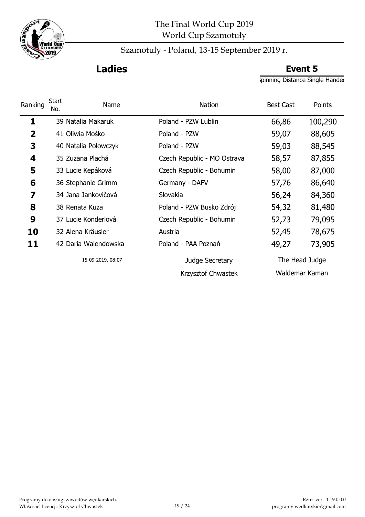

# **Ladies Event 5**

Spinning Distance Single Hander

| Ranking        | <b>Start</b><br>Name<br>No. | <b>Nation</b>               | <b>Best Cast</b> | Points  |
|----------------|-----------------------------|-----------------------------|------------------|---------|
| 1              | 39 Natalia Makaruk          | Poland - PZW Lublin         | 66,86            | 100,290 |
| $\overline{2}$ | 41 Oliwia Mośko             | Poland - PZW                | 59,07            | 88,605  |
| 3              | 40 Natalia Polowczyk        | Poland - PZW                | 59,03            | 88,545  |
| 4              | 35 Zuzana Plachá            | Czech Republic - MO Ostrava | 58,57            | 87,855  |
| 5              | 33 Lucie Kepáková           | Czech Republic - Bohumin    | 58,00            | 87,000  |
| 6              | 36 Stephanie Grimm          | Germany - DAFV              | 57,76            | 86,640  |
| 7              | 34 Jana Jankovičová         | Slovakia                    | 56,24            | 84,360  |
| 8              | 38 Renata Kuza              | Poland - PZW Busko Zdrój    | 54,32            | 81,480  |
| 9              | 37 Lucie Konderlová         | Czech Republic - Bohumin    | 52,73            | 79,095  |
| 10             | 32 Alena Kräusler           | Austria                     | 52,45            | 78,675  |
| 11             | 42 Daria Walendowska        | Poland - PAA Poznań         | 49,27            | 73,905  |
|                | 15-09-2019, 08:07           | Judge Secretary             | The Head Judge   |         |
|                |                             | Krzysztof Chwastek          | Waldemar Kaman   |         |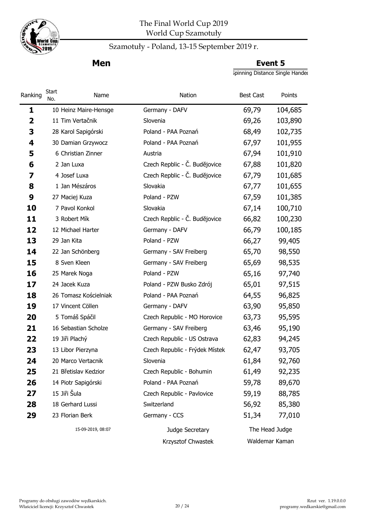

## Szamotuły - Poland, 13-15 September 2019 r.

**Men Event 5** 

Spinning Distance Single Handed

| Ranking | Start<br>No. | Name                  | Nation                         | <b>Best Cast</b> | Points  |
|---------|--------------|-----------------------|--------------------------------|------------------|---------|
| 1       |              | 10 Heinz Maire-Hensge | Germany - DAFV                 | 69,79            | 104,685 |
| 2       |              | 11 Tim Vertačnik      | Slovenia                       | 69,26            | 103,890 |
| 3       |              | 28 Karol Sapigórski   | Poland - PAA Poznań            | 68,49            | 102,735 |
| 4       |              | 30 Damian Grzywocz    | Poland - PAA Poznań            | 67,97            | 101,955 |
| 5       |              | 6 Christian Zinner    | Austria                        | 67,94            | 101,910 |
| 6       |              | 2 Jan Luxa            | Czech Repblic - Č. Budějovice  | 67,88            | 101,820 |
| 7       |              | 4 Josef Luxa          | Czech Repblic - Č. Budějovice  | 67,79            | 101,685 |
| 8       |              | 1 Jan Mészáros        | Slovakia                       | 67,77            | 101,655 |
| 9       |              | 27 Maciej Kuza        | Poland - PZW                   | 67,59            | 101,385 |
| 10      |              | 7 Pavol Konkol        | Slovakia                       | 67,14            | 100,710 |
| 11      |              | 3 Robert Mík          | Czech Repblic - Č. Budějovice  | 66,82            | 100,230 |
| 12      |              | 12 Michael Harter     | Germany - DAFV                 | 66,79            | 100,185 |
| 13      | 29 Jan Kita  |                       | Poland - PZW                   | 66,27            | 99,405  |
| 14      |              | 22 Jan Schönberg      | Germany - SAV Freiberg         | 65,70            | 98,550  |
| 15      |              | 8 Sven Kleen          | Germany - SAV Freiberg         | 65,69            | 98,535  |
| 16      |              | 25 Marek Noga         | Poland - PZW                   | 65,16            | 97,740  |
| 17      |              | 24 Jacek Kuza         | Poland - PZW Busko Zdrój       | 65,01            | 97,515  |
| 18      |              | 26 Tomasz Kościelniak | Poland - PAA Poznań            | 64,55            | 96,825  |
| 19      |              | 17 Vincent Cöllen     | Germany - DAFV                 | 63,90            | 95,850  |
| 20      |              | 5 Tomáš Spáčil        | Czech Republic - MO Horovice   | 63,73            | 95,595  |
| 21      |              | 16 Sebastian Scholze  | Germany - SAV Freiberg         | 63,46            | 95,190  |
| 22      |              | 19 Jiři Plachý        | Czech Republic - US Ostrava    | 62,83            | 94,245  |
| 23      |              | 13 Libor Pierzyna     | Czech Republic - Frýdek Místek | 62,47            | 93,705  |
| 24      |              | 20 Marco Vertacnik    | Slovenia                       | 61,84            | 92,760  |
| 25      |              | 21 Břetislav Kedzior  | Czech Republic - Bohumin       | 61,49            | 92,235  |
| 26      |              | 14 Piotr Sapigórski   | Poland - PAA Poznań            | 59,78            | 89,670  |
| 27      | 15 Jiři Šula |                       | Czech Republic - Pavlovice     | 59,19            | 88,785  |
| 28      |              | 18 Gerhard Lussi      | Switzerland                    | 56,92            | 85,380  |
| 29      |              | 23 Florian Berk       | Germany - CCS                  | 51,34            | 77,010  |
|         |              | 15-09-2019, 08:07     | Judge Secretary                | The Head Judge   |         |
|         |              |                       | Krzysztof Chwastek             | Waldemar Kaman   |         |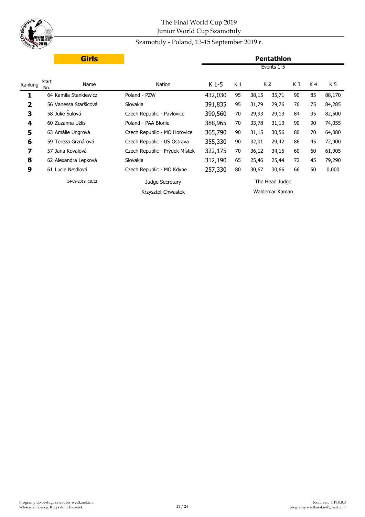

### Szamotuły - Poland, 13-15 September 2019 r.

|                         | <b>Girls</b>                |                                |         |                |       | <b>Pentathlon</b> |                |    |        |
|-------------------------|-----------------------------|--------------------------------|---------|----------------|-------|-------------------|----------------|----|--------|
|                         |                             |                                |         |                |       | Events 1-5        |                |    |        |
| Ranking                 | <b>Start</b><br>Name<br>No. | Nation                         | K 1-5   | K <sub>1</sub> |       | K 2               | K <sub>3</sub> | K4 | K 5    |
| 1                       | 64 Kamila Stankiewicz       | Poland - PZW                   | 432,030 | 95             | 38,15 | 35,71             | 90             | 85 | 88,170 |
| $\overline{\mathbf{2}}$ | 56 Vanessa Staršicová       | Slovakia                       | 391,835 | 95             | 31,79 | 29,76             | 76             | 75 | 84,285 |
| 3                       | 58 Julie Šulová             | Czech Republic - Pavlovice     | 390,560 | 70             | 29,93 | 29,13             | 84             | 95 | 82,500 |
| $\overline{\mathbf{4}}$ | 60 Zuzanna Użlis            | Poland - PAA Błonie            | 388,965 | 70             | 33,78 | 31,13             | 90             | 90 | 74,055 |
| 5                       | 63 Amálie Ungrová           | Czech Republic - MO Horovice   | 365,790 | 90             | 31,15 | 30,56             | 80             | 70 | 64,080 |
| 6                       | 59 Tereza Grznárová         | Czech Republic - US Ostrava    | 355,330 | 90             | 32,01 | 29,42             | 86             | 45 | 72,900 |
| 7                       | 57 Jana Kovalová            | Czech Republic - Frýdek Místek | 322,175 | 70             | 36,12 | 34,15             | 60             | 60 | 61,905 |
| 8                       | 62 Alexandra Lepková        | Slovakia                       | 312,190 | 65             | 25,46 | 25,44             | 72             | 45 | 79,290 |
| 9                       | 61 Lucie Nejdlová           | Czech Republic - MO Kdyne      | 257,330 | 80             | 30,67 | 30,66             | 66             | 50 | 0,000  |
|                         | 14-09-2019, 18:12           | Judge Secretary                |         |                |       | The Head Judge    |                |    |        |
|                         |                             | Krzysztof Chwastek             |         |                |       | Waldemar Kaman    |                |    |        |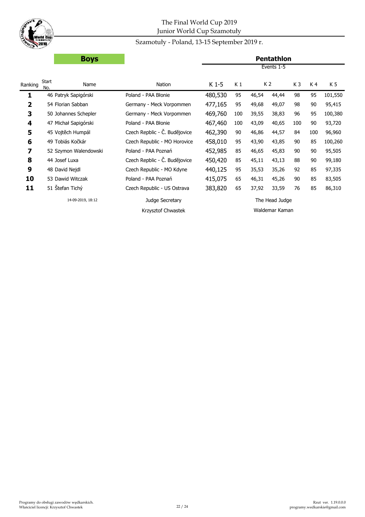

### Szamotuły - Poland, 13-15 September 2019 r.

**Boys Pentathlon**

|                         |                     |                       |                               |         |     |       | Events 1-5     |                |     |         |
|-------------------------|---------------------|-----------------------|-------------------------------|---------|-----|-------|----------------|----------------|-----|---------|
| Ranking                 | <b>Start</b><br>No. | Name                  | Nation                        | $K1-5$  | K 1 |       | K 2            | K <sub>3</sub> | K4  | K 5     |
| 1                       |                     | 46 Patryk Sapigórski  | Poland - PAA Błonie           | 480,530 | 95  | 46,54 | 44,44          | 98             | 95  | 101,550 |
| 2                       |                     | 54 Florian Sabban     | Germany - Meck Vorpommen      | 477,165 | 95  | 49,68 | 49,07          | 98             | 90  | 95,415  |
| 3                       |                     | 50 Johannes Schepler  | Germany - Meck Vorpommen      | 469,760 | 100 | 39,55 | 38,83          | 96             | 95  | 100,380 |
| $\overline{\mathbf{4}}$ |                     | 47 Michał Sapigórski  | Poland - PAA Błonie           | 467,460 | 100 | 43,09 | 40,65          | 100            | 90  | 93,720  |
| 5                       |                     | 45 Vojtěch Humpál     | Czech Repblic - Č. Budějovice | 462,390 | 90  | 46,86 | 44,57          | 84             | 100 | 96,960  |
| 6                       |                     | 49 Tobiás Kočkár      | Czech Republic - MO Horovice  | 458,010 | 95  | 43,90 | 43,85          | 90             | 85  | 100,260 |
| 7                       |                     | 52 Szymon Walendowski | Poland - PAA Poznań           | 452,985 | 85  | 46,65 | 45,83          | 90             | 90  | 95,505  |
| 8                       |                     | 44 Josef Luxa         | Czech Repblic - Č. Budějovice | 450,420 | 85  | 45,11 | 43,13          | 88             | 90  | 99,180  |
| 9                       |                     | 48 David Nejdl        | Czech Republic - MO Kdyne     | 440,125 | 95  | 35,53 | 35,26          | 92             | 85  | 97,335  |
| 10                      |                     | 53 Dawid Witczak      | Poland - PAA Poznań           | 415,075 | 65  | 46,31 | 45,26          | 90             | 85  | 83,505  |
| 11                      |                     | 51 Stefan Tichý       | Czech Republic - US Ostrava   | 383,820 | 65  | 37,92 | 33,59          | 76             | 85  | 86,310  |
|                         |                     | 14-09-2019, 18:12     | Judge Secretary               |         |     |       | The Head Judge |                |     |         |
|                         |                     |                       | Krzysztof Chwastek            |         |     |       | Waldemar Kaman |                |     |         |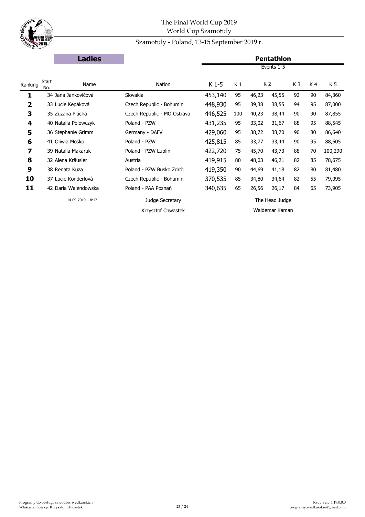

### Szamotuły - Poland, 13-15 September 2019 r.

|                         | <b>Ladies</b>        |                             |         |     |       | <b>Pentathlon</b> |                |     |         |
|-------------------------|----------------------|-----------------------------|---------|-----|-------|-------------------|----------------|-----|---------|
|                         |                      |                             |         |     |       | Events 1-5        |                |     |         |
| Ranking                 | Start<br>Name<br>No. | Nation                      | K 1-5   | K 1 |       | K <sub>2</sub>    | K <sub>3</sub> | K 4 | K 5     |
| 1                       | 34 Jana Jankovičová  | Slovakia                    | 453,140 | 95  | 46,23 | 45,55             | 92             | 90  | 84,360  |
| $\overline{\mathbf{2}}$ | 33 Lucie Kepáková    | Czech Republic - Bohumin    | 448,930 | 95  | 39,38 | 38,55             | 94             | 95  | 87,000  |
| 3                       | 35 Zuzana Plachá     | Czech Republic - MO Ostrava | 446,525 | 100 | 40,23 | 38,44             | 90             | 90  | 87,855  |
| 4                       | 40 Natalia Polowczyk | Poland - PZW                | 431,235 | 95  | 33,02 | 31,67             | 88             | 95  | 88,545  |
| 5                       | 36 Stephanie Grimm   | Germany - DAFV              | 429,060 | 95  | 38,72 | 38,70             | 90             | 80  | 86,640  |
| 6                       | 41 Oliwia Mośko      | Poland - PZW                | 425,815 | 85  | 33,77 | 33,44             | 90             | 95  | 88,605  |
| 7                       | 39 Natalia Makaruk   | Poland - PZW Lublin         | 422,720 | 75  | 45,70 | 43,73             | 88             | 70  | 100,290 |
| 8                       | 32 Alena Kräusler    | Austria                     | 419,915 | 80  | 48,03 | 46,21             | 82             | 85  | 78,675  |
| 9                       | 38 Renata Kuza       | Poland - PZW Busko Zdrój    | 419,350 | 90  | 44,69 | 41,18             | 82             | 80  | 81,480  |
| 10                      | 37 Lucie Konderlová  | Czech Republic - Bohumin    | 370,535 | 85  | 34,80 | 34,64             | 82             | 55  | 79,095  |
| 11                      | 42 Daria Walendowska | Poland - PAA Poznań         | 340,635 | 65  | 26,56 | 26,17             | 84             | 65  | 73,905  |
|                         | 14-09-2019, 18:12    | Judge Secretary             |         |     |       | The Head Judge    |                |     |         |
|                         |                      | Krzysztof Chwastek          |         |     |       | Waldemar Kaman    |                |     |         |